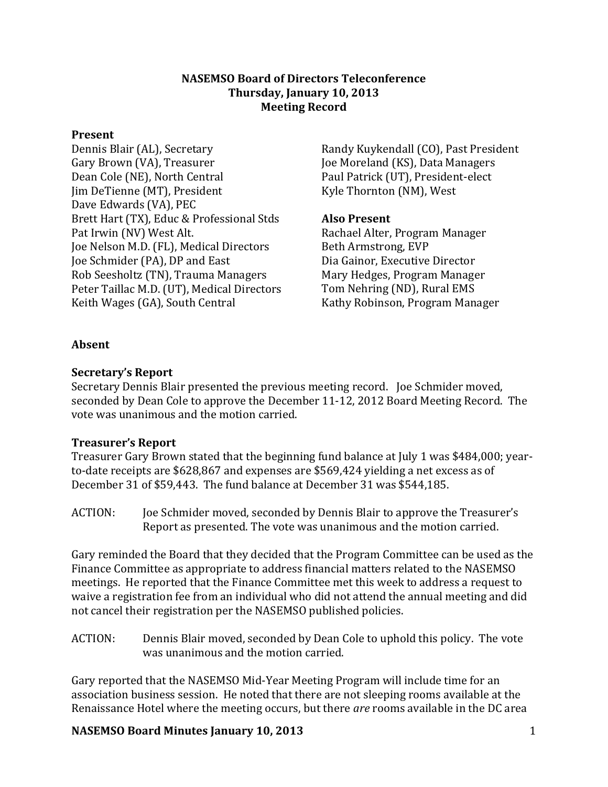#### **NASEMSO Board of Directors Teleconference Thursday, January 10, 2013 Meeting Record**

#### **Present**

Dennis Blair (AL), Secretary Gary Brown (VA), Treasurer Dean Cole (NE), North Central Jim DeTienne (MT), President Dave Edwards (VA), PEC Brett Hart (TX), Educ & Professional Stds Pat Irwin (NV) West Alt. Joe Nelson M.D. (FL), Medical Directors Joe Schmider (PA), DP and East Rob Seesholtz (TN), Trauma Managers Peter Taillac M.D. (UT), Medical Directors Keith Wages (GA), South Central

Randy Kuykendall (CO), Past President Joe Moreland (KS), Data Managers Paul Patrick (UT), President-elect Kyle Thornton (NM), West

# **Also Present**

Rachael Alter, Program Manager Beth Armstrong, EVP Dia Gainor, Executive Director Mary Hedges, Program Manager Tom Nehring (ND), Rural EMS Kathy Robinson, Program Manager

### **Absent**

### **Secretary's Report**

Secretary Dennis Blair presented the previous meeting record. Joe Schmider moved, seconded by Dean Cole to approve the December 11-12, 2012 Board Meeting Record. The vote was unanimous and the motion carried.

# **Treasurer's Report**

Treasurer Gary Brown stated that the beginning fund balance at July 1 was \$484,000; yearto-date receipts are \$628,867 and expenses are \$569,424 yielding a net excess as of December 31 of \$59,443. The fund balance at December 31 was \$544,185.

ACTION: Joe Schmider moved, seconded by Dennis Blair to approve the Treasurer's Report as presented. The vote was unanimous and the motion carried.

Gary reminded the Board that they decided that the Program Committee can be used as the Finance Committee as appropriate to address financial matters related to the NASEMSO meetings. He reported that the Finance Committee met this week to address a request to waive a registration fee from an individual who did not attend the annual meeting and did not cancel their registration per the NASEMSO published policies.

ACTION: Dennis Blair moved, seconded by Dean Cole to uphold this policy. The vote was unanimous and the motion carried.

Gary reported that the NASEMSO Mid-Year Meeting Program will include time for an association business session. He noted that there are not sleeping rooms available at the Renaissance Hotel where the meeting occurs, but there *are* rooms available in the DC area

# **NASEMSO Board Minutes January 10, 2013** 1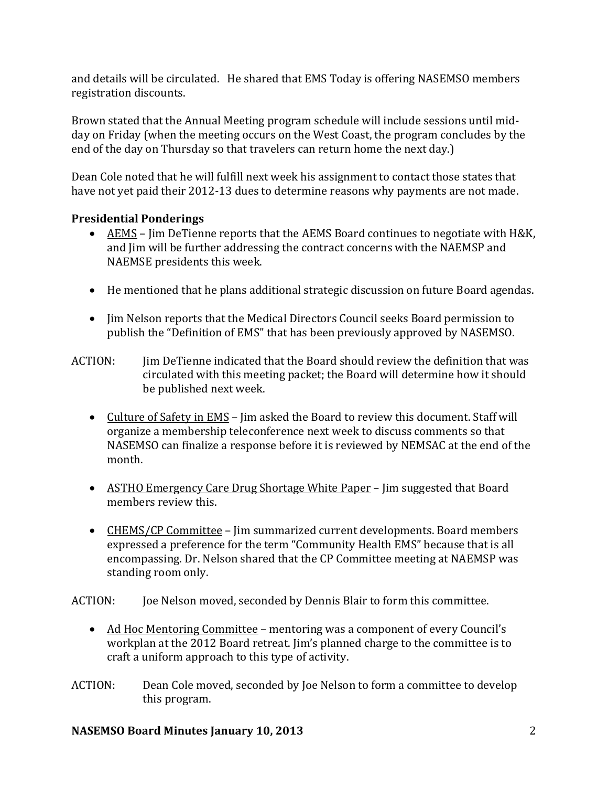and details will be circulated. He shared that EMS Today is offering NASEMSO members registration discounts.

Brown stated that the Annual Meeting program schedule will include sessions until midday on Friday (when the meeting occurs on the West Coast, the program concludes by the end of the day on Thursday so that travelers can return home the next day.)

Dean Cole noted that he will fulfill next week his assignment to contact those states that have not yet paid their 2012-13 dues to determine reasons why payments are not made.

# **Presidential Ponderings**

- **•** AEMS Jim DeTienne reports that the AEMS Board continues to negotiate with H&K, and Jim will be further addressing the contract concerns with the NAEMSP and NAEMSE presidents this week.
- He mentioned that he plans additional strategic discussion on future Board agendas.
- Jim Nelson reports that the Medical Directors Council seeks Board permission to publish the "Definition of EMS" that has been previously approved by NASEMSO.
- ACTION: Jim DeTienne indicated that the Board should review the definition that was circulated with this meeting packet; the Board will determine how it should be published next week.
	- Culture of Safety in EMS Jim asked the Board to review this document. Staff will organize a membership teleconference next week to discuss comments so that NASEMSO can finalize a response before it is reviewed by NEMSAC at the end of the month.
	- ASTHO Emergency Care Drug Shortage White Paper Jim suggested that Board members review this.
	- CHEMS/CP Committee Jim summarized current developments. Board members expressed a preference for the term "Community Health EMS" because that is all encompassing. Dr. Nelson shared that the CP Committee meeting at NAEMSP was standing room only.

ACTION: Joe Nelson moved, seconded by Dennis Blair to form this committee.

- Ad Hoc Mentoring Committee mentoring was a component of every Council's workplan at the 2012 Board retreat. Jim's planned charge to the committee is to craft a uniform approach to this type of activity.
- ACTION: Dean Cole moved, seconded by Joe Nelson to form a committee to develop this program.

# **NASEMSO Board Minutes January 10, 2013** 2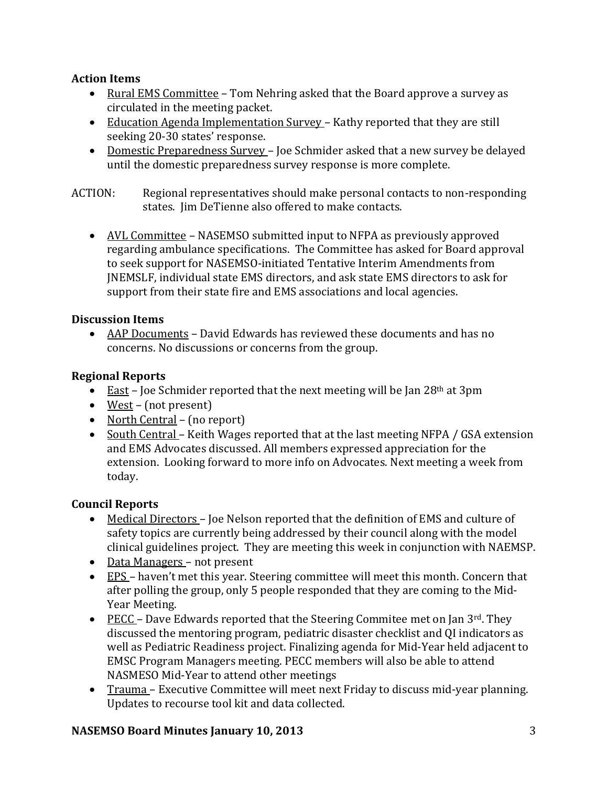# **Action Items**

- Rural EMS Committee Tom Nehring asked that the Board approve a survey as circulated in the meeting packet.
- Education Agenda Implementation Survey Kathy reported that they are still seeking 20-30 states' response.
- Domestic Preparedness Survey Joe Schmider asked that a new survey be delayed until the domestic preparedness survey response is more complete.

ACTION: Regional representatives should make personal contacts to non-responding states. Jim DeTienne also offered to make contacts.

 AVL Committee – NASEMSO submitted input to NFPA as previously approved regarding ambulance specifications. The Committee has asked for Board approval to seek support for NASEMSO-initiated Tentative Interim Amendments from JNEMSLF, individual state EMS directors, and ask state EMS directors to ask for support from their state fire and EMS associations and local agencies.

### **Discussion Items**

 AAP Documents – David Edwards has reviewed these documents and has no concerns. No discussions or concerns from the group.

### **Regional Reports**

- East Joe Schmider reported that the next meeting will be Jan  $28<sup>th</sup>$  at 3pm
- West (not present)
- North Central (no report)
- South Central Keith Wages reported that at the last meeting NFPA / GSA extension and EMS Advocates discussed. All members expressed appreciation for the extension. Looking forward to more info on Advocates. Next meeting a week from today.

#### **Council Reports**

- Medical Directors Joe Nelson reported that the definition of EMS and culture of safety topics are currently being addressed by their council along with the model clinical guidelines project. They are meeting this week in conjunction with NAEMSP.
- Data Managers not present
- $\bullet$  EPS haven't met this year. Steering committee will meet this month. Concern that after polling the group, only 5 people responded that they are coming to the Mid-Year Meeting.
- **•** PECC Dave Edwards reported that the Steering Commitee met on Jan  $3^{rd}$ . They discussed the mentoring program, pediatric disaster checklist and QI indicators as well as Pediatric Readiness project. Finalizing agenda for Mid-Year held adjacent to EMSC Program Managers meeting. PECC members will also be able to attend NASMESO Mid-Year to attend other meetings
- Trauma Executive Committee will meet next Friday to discuss mid-year planning. Updates to recourse tool kit and data collected.

#### **NASEMSO Board Minutes January 10, 2013** 3